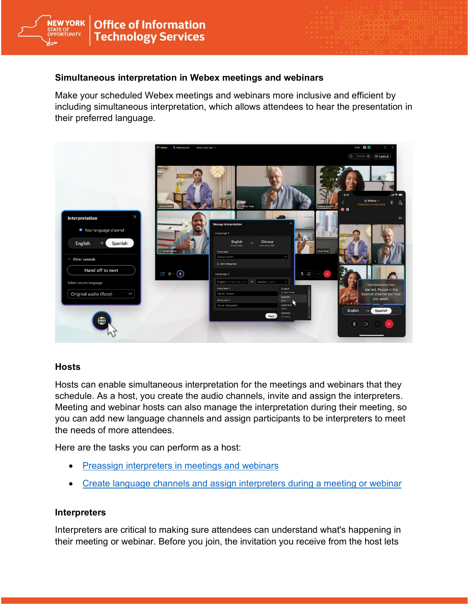

#### **Simultaneous interpretation in Webex meetings and webinars**

Make your scheduled Webex meetings and webinars more inclusive and efficient by including simultaneous interpretation, which allows attendees to hear the presentation in their preferred language.



### **Hosts**

Hosts can enable simultaneous interpretation for the meetings and webinars that they schedule. As a host, you create the audio channels, invite and assign the interpreters. Meeting and webinar hosts can also manage the interpretation during their meeting, so you can add new language channels and assign participants to be interpreters to meet the needs of more attendees.

Here are the tasks you can perform as a host:

- [Preassign interpreters in meetings and webinars](https://help.webex.com/en-us/article/05t2s6/Preassign-interpreters-for-Webex-Meetings-and-Webex-Webinars)
- [Create language channels and assign interpreters during a meeting or webinar](https://help.webex.com/en-us/article/nl743xq/Create-language-channels-and-assign-interpreters-during-meetings-and-webinars)

#### **Interpreters**

Interpreters are critical to making sure attendees can understand what's happening in their meeting or webinar. Before you join, the invitation you receive from the host lets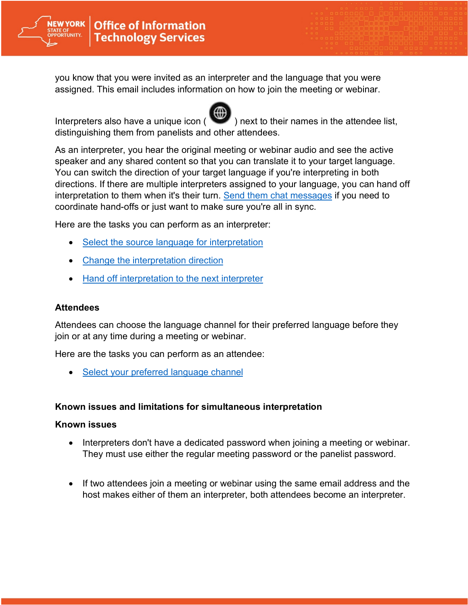

you know that you were invited as an interpreter and the language that you were assigned. This email includes information on how to join the meeting or webinar.

Interpreters also have a unique icon  $($  ) next to their names in the attendee list, distinguishing them from panelists and other attendees.

As an interpreter, you hear the original meeting or webinar audio and see the active speaker and any shared content so that you can translate it to your target language. You can switch the direction of your target language if you're interpreting in both directions. If there are multiple interpreters assigned to your language, you can hand off interpretation to them when it's their turn. [Send them chat messages](https://help.webex.com/en-us/article/WBX21522/How-Do-I-Send-a-Chat-Message?) if you need to coordinate hand-offs or just want to make sure you're all in sync.

Here are the tasks you can perform as an interpreter:

- [Select the source language for interpretation](https://help.webex.com/en-us/article/njwspgc/Set-the-audio-source-for-interpretation-in-Webex-Meetings-and-Webex-Webinars)
- **[Change the interpretation direction](https://help.webex.com/en-us/article/fcsfak/Change-the-interpretation-direction-in-Webex-Meetings-and-Webex-Webinars)**
- [Hand off interpretation to the next interpreter](https://help.webex.com/en-us/article/n46mfg3/Hand-off-interpreting-to-the-next-interpreter-in-Webex-Meetings-and-Webex-Webinars)

## **Attendees**

Attendees can choose the language channel for their preferred language before they join or at any time during a meeting or webinar.

Here are the tasks you can perform as an attendee:

• [Select your preferred language channel](https://help.webex.com/en-us/article/ulsf4j/Select-your-preferred-language-audio-channel-in-Webex-Meetings-and-Webex-Webinars)

# **Known issues and limitations for simultaneous interpretation**

### **Known issues**

- Interpreters don't have a dedicated password when joining a meeting or webinar. They must use either the regular meeting password or the panelist password.
- If two attendees join a meeting or webinar using the same email address and the host makes either of them an interpreter, both attendees become an interpreter.